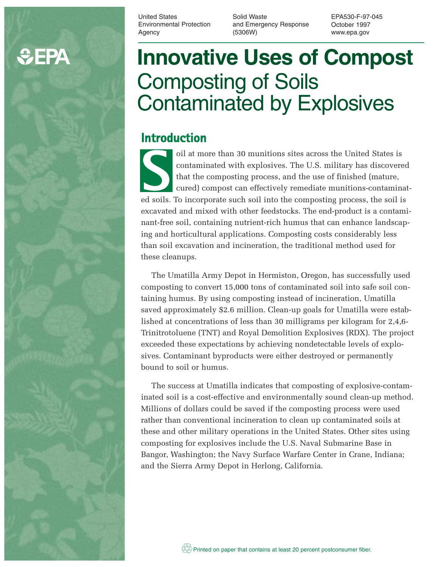# **C**PA

United States Environmental Protection Agency

Solid Waste and Emergency Response (5306W)

EPA530-F-97-045 October 1997 www.epa.gov

# **Innovative Uses of Compost** Composting of Soils Contaminated by Explosives

# **Introduction**

oil at more than 30 munitions sites across the United States is contaminated with explosives. The U.S. military has discovered that the composting process, and the use of finished (mature, cured) compost can effectively remediate munitions-contaminatoil at more than 30 munitions sites across the United States is<br>
contaminated with explosives. The U.S. military has discovered<br>
that the composting process, and the use of finished (mature,<br>
cured) compost can effectively excavated and mixed with other feedstocks. The end-product is a contaminant-free soil, containing nutrient-rich humus that can enhance landscaping and horticultural applications. Composting costs considerably less than soil excavation and incineration, the traditional method used for these cleanups.

The Umatilla Army Depot in Hermiston, Oregon, has successfully used composting to convert 15,000 tons of contaminated soil into safe soil containing humus. By using composting instead of incineration, Umatilla saved approximately \$2.6 million. Clean-up goals for Umatilla were established at concentrations of less than 30 milligrams per kilogram for 2,4,6- Trinitrotoluene (TNT) and Royal Demolition Explosives (RDX). The project exceeded these expectations by achieving nondetectable levels of explosives. Contaminant byproducts were either destroyed or permanently bound to soil or humus.

The success at Umatilla indicates that composting of explosive-contaminated soil is a cost-effective and environmentally sound clean-up method. Millions of dollars could be saved if the composting process were used rather than conventional incineration to clean up contaminated soils at these and other military operations in the United States. Other sites using composting for explosives include the U.S. Naval Submarine Base in Bangor, Washington; the Navy Surface Warfare Center in Crane, Indiana; and the Sierra Army Depot in Herlong, California.

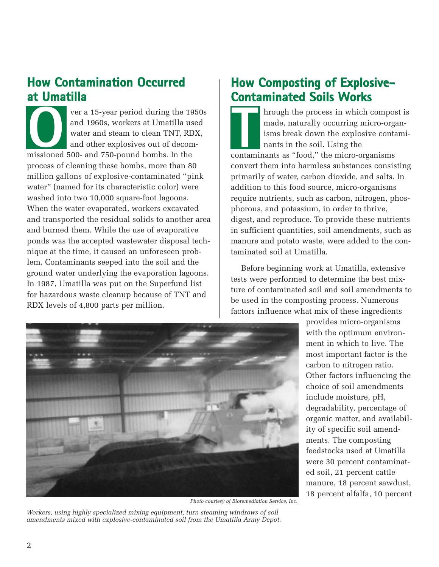# **How Contamination Occurred at Umatilla**

ver a 15-year period during the 1950s and 1960s, workers at Umatilla used water and steam to clean TNT, RDX, and other explosives out of decommissioned 500- and 750-pound bombs. In the process of cleaning these bombs, more than 80 million gallons of explosive-contaminated "pink water" (named for its characteristic color) were washed into two 10,000 square-foot lagoons. When the water evaporated, workers excavated and transported the residual solids to another area and burned them. While the use of evaporative ponds was the accepted wastewater disposal technique at the time, it caused an unforeseen problem. Contaminants seeped into the soil and the ground water underlying the evaporation lagoons. In 1987, Umatilla was put on the Superfund list for hazardous waste cleanup because of TNT and RDX levels of 4,800 parts per million. **O Ver a 15-year period during the 1950s**<br>and 1960s, workers at Umatilla used<br>water and steam to clean TNT, RDX,<br>and other explosives out of decom-<br>missioned 500- and 750-pound bombs. In the<br>contam

## **How Composting of Explosive-Contaminated Soils Works**

hrough the process in which compost is made, naturally occurring micro-organisms break down the explosive contaminants in the soil. Using the contaminants as "food," the micro-organisms convert them into harmless substances consisting primarily of water, carbon dioxide, and salts. In addition to this food source, micro-organisms require nutrients, such as carbon, nitrogen, phosphorous, and potassium, in order to thrive, digest, and reproduce. To provide these nutrients in sufficient quantities, soil amendments, such as manure and potato waste, were added to the contaminated soil at Umatilla.

Before beginning work at Umatilla, extensive tests were performed to determine the best mixture of contaminated soil and soil amendments to be used in the composting process. Numerous factors influence what mix of these ingredients



*Photo courtesy of Bioremediation Service, Inc.*

*Workers, using highly specialized mixing equipment, turn steaming windrows of soil amendments mixed with explosive-contaminated soil from the Umatilla Army Depot.* provides micro-organisms with the optimum environment in which to live. The most important factor is the carbon to nitrogen ratio. Other factors influencing the choice of soil amendments include moisture, pH, degradability, percentage of organic matter, and availability of specific soil amendments. The composting feedstocks used at Umatilla were 30 percent contaminated soil, 21 percent cattle manure, 18 percent sawdust, 18 percent alfalfa, 10 percent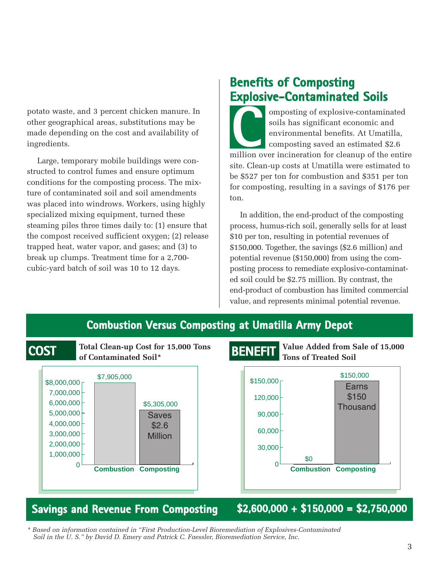potato waste, and 3 percent chicken manure. In other geographical areas, substitutions may be made depending on the cost and availability of ingredients.

Large, temporary mobile buildings were constructed to control fumes and ensure optimum conditions for the composting process. The mixture of contaminated soil and soil amendments was placed into windrows. Workers, using highly specialized mixing equipment, turned these steaming piles three times daily to: (1) ensure that the compost received sufficient oxygen; (2) release trapped heat, water vapor, and gases; and (3) to break up clumps. Treatment time for a 2,700 cubic-yard batch of soil was 10 to 12 days.

## **Benefits of Composting Explosive-Contaminated Soils**

omposting of explosive-contaminated soils has significant economic and environmental benefits. At Umatilla, composting saved an estimated \$2.6 mposting of explosive-contaminated<br>soils has significant economic and<br>environmental benefits. At Umatilla,<br>composting saved an estimated \$2.6<br>million over incineration for cleanup of the entire site. Clean-up costs at Umatilla were estimated to be \$527 per ton for combustion and \$351 per ton for composting, resulting in a savings of \$176 per ton.

In addition, the end-product of the composting process, humus-rich soil, generally sells for at least \$10 per ton, resulting in potential revenues of \$150,000. Together, the savings (\$2.6 million) and potential revenue (\$150,000) from using the composting process to remediate explosive-contaminated soil could be \$2.75 million. By contrast, the end-product of combustion has limited commercial value, and represents minimal potential revenue.



### **Savings and Revenue From Composting \$2,600,000 + \$150,000 = \$2,750,000**

*\* Based on information contained in "First Production-Level Bioremediation of Explosives-Contaminated Soil in the U. S." by David D. Emery and Patrick C. Faessler, Bioremediation Service, Inc.*